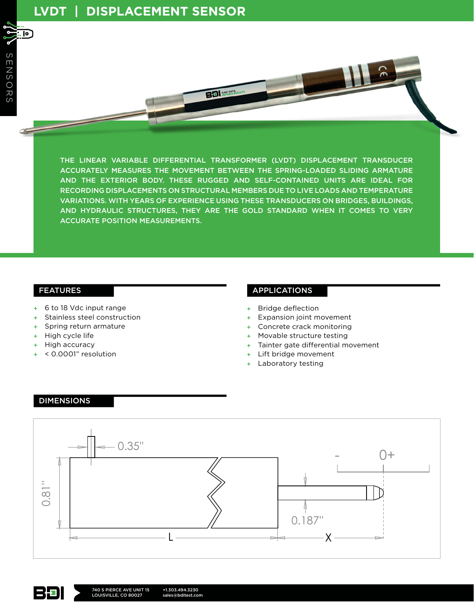. lo ]

THE LINEAR VARIABLE DIFFERENTIAL TRANSFORMER (LVDT) DISPLACEMENT TRANSDUCER ACCURATELY MEASURES THE MOVEMENT BETWEEN THE SPRING-LOADED SLIDING ARMATURE AND THE EXTERIOR BODY. THESE RUGGED AND SELF-CONTAINED UNITS ARE IDEAL FOR RECORDING DISPLACEMENTS ON STRUCTURAL MEMBERS DUE TO LIVE LOADS AND TEMPERATURE VARIATIONS. WITH YEARS OF EXPERIENCE USING THESE TRANSDUCERS ON BRIDGES, BUILDINGS, AND HYDRAULIC STRUCTURES, THEY ARE THE GOLD STANDARD WHEN IT COMES TO VERY ACCURATE POSITION MEASUREMENTS.

RAW DATA

## FEATURES

- + 6 to 18 Vdc input range
- Stainless steel construction
- + Spring return armature
- + High cycle life
- High accuracy
- + < 0.0001" resolution

## APPLICATIONS

- **Bridge deflection**
- + Expansion joint movement
- Concrete crack monitoring
- Movable structure testing
- Tainter gate differential movement
- Lift bridge movement
- Laboratory testing

#### DIMENSIONS